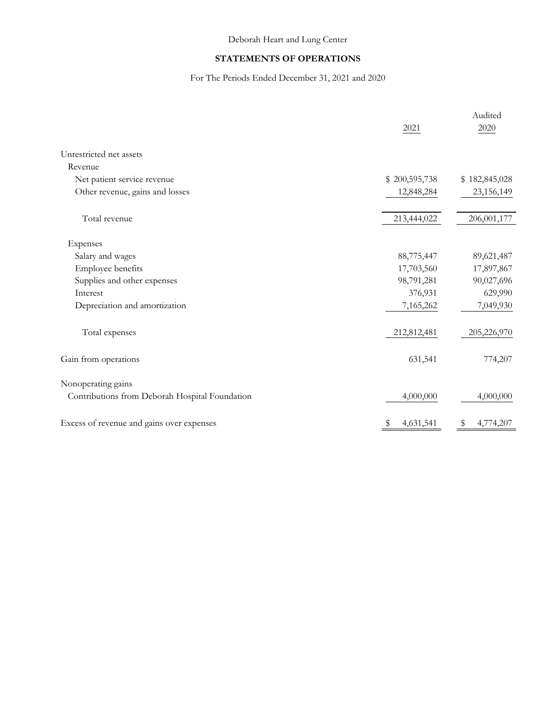## STATEMENTS OF OPERATIONS

## For The Periods Ended December 31, 2021 and 2020

|                                                | 2021           | Audited<br>2020 |
|------------------------------------------------|----------------|-----------------|
| Unrestricted net assets                        |                |                 |
| Revenue                                        |                |                 |
| Net patient service revenue                    | \$200,595,738  | \$182,845,028   |
| Other revenue, gains and losses                | 12,848,284     | 23,156,149      |
| Total revenue                                  | 213,444,022    | 206,001,177     |
| Expenses                                       |                |                 |
| Salary and wages                               | 88,775,447     | 89,621,487      |
| Employee benefits                              | 17,703,560     | 17,897,867      |
| Supplies and other expenses                    | 98,791,281     | 90,027,696      |
| Interest                                       | 376,931        | 629,990         |
| Depreciation and amortization                  | 7,165,262      | 7,049,930       |
| Total expenses                                 | 212,812,481    | 205,226,970     |
| Gain from operations                           | 631,541        | 774,207         |
| Nonoperating gains                             |                |                 |
| Contributions from Deborah Hospital Foundation | 4,000,000      | 4,000,000       |
| Excess of revenue and gains over expenses      | 4,631,541<br>S | 4,774,207<br>\$ |